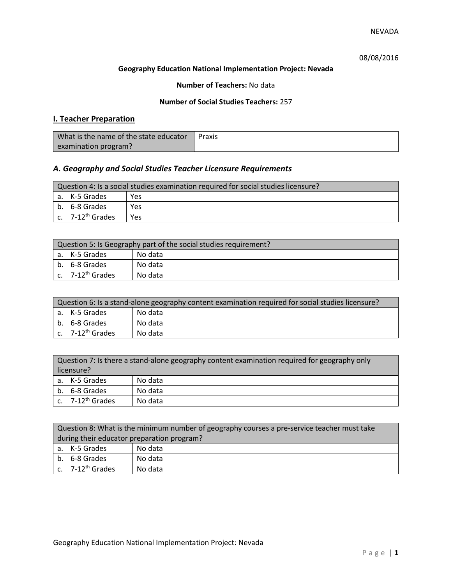# 08/08/2016

#### **Geography Education National Implementation Project: Nevada**

## **Number of Teachers:** No data

## **Number of Social Studies Teachers:** 257

# **I. Teacher Preparation**

| What is the name of the state educator | Praxis |
|----------------------------------------|--------|
| examination program?                   |        |

# *A. Geography and Social Studies Teacher Licensure Requirements*

| Question 4: Is a social studies examination required for social studies licensure? |                       |            |
|------------------------------------------------------------------------------------|-----------------------|------------|
|                                                                                    | a. K-5 Grades         | <b>Yes</b> |
|                                                                                    | b. 6-8 Grades         | Yes        |
|                                                                                    | c. $7-12^{th}$ Grades | <b>Yes</b> |

| Question 5: Is Geography part of the social studies requirement? |                              |         |
|------------------------------------------------------------------|------------------------------|---------|
|                                                                  | l a. K-5 Grades              | No data |
|                                                                  | b. 6-8 Grades                | No data |
|                                                                  | c. 7-12 <sup>th</sup> Grades | No data |

| Question 6: Is a stand-alone geography content examination required for social studies licensure? |         |  |  |
|---------------------------------------------------------------------------------------------------|---------|--|--|
| l a. K-5 Grades                                                                                   | No data |  |  |
| b. 6-8 Grades                                                                                     | No data |  |  |
| $c.$ 7-12 <sup>th</sup> Grades                                                                    | No data |  |  |

| Question 7: Is there a stand-alone geography content examination required for geography only<br>licensure? |         |  |
|------------------------------------------------------------------------------------------------------------|---------|--|
| a. K-5 Grades                                                                                              | No data |  |
| b. 6-8 Grades                                                                                              | No data |  |
| c. $7-12^{th}$ Grades                                                                                      | No data |  |

| Question 8: What is the minimum number of geography courses a pre-service teacher must take |         |  |
|---------------------------------------------------------------------------------------------|---------|--|
| during their educator preparation program?                                                  |         |  |
| a. K-5 Grades                                                                               | No data |  |
| b. 6-8 Grades                                                                               | No data |  |
| c. $7-12^{th}$ Grades                                                                       | No data |  |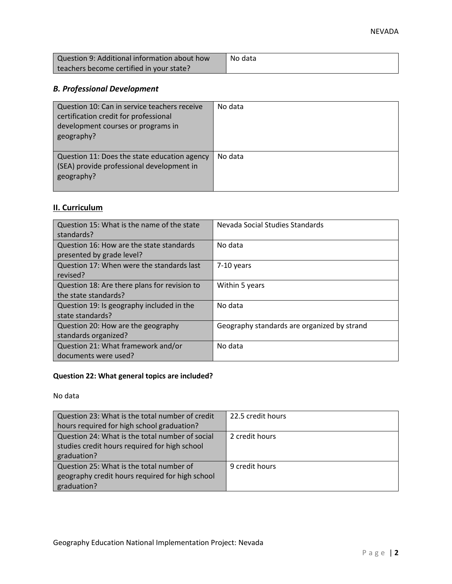| Question 9: Additional information about how | No data |
|----------------------------------------------|---------|
| teachers become certified in your state?     |         |

# *B. Professional Development*

| Question 10: Can in service teachers receive<br>certification credit for professional<br>development courses or programs in<br>geography? | No data |
|-------------------------------------------------------------------------------------------------------------------------------------------|---------|
| Question 11: Does the state education agency<br>(SEA) provide professional development in<br>geography?                                   | No data |

# **II. Curriculum**

| Question 15: What is the name of the state<br>standards?              | Nevada Social Studies Standards             |
|-----------------------------------------------------------------------|---------------------------------------------|
| Question 16: How are the state standards<br>presented by grade level? | No data                                     |
| Question 17: When were the standards last<br>revised?                 | 7-10 years                                  |
| Question 18: Are there plans for revision to<br>the state standards?  | Within 5 years                              |
| Question 19: Is geography included in the<br>state standards?         | No data                                     |
| Question 20: How are the geography<br>standards organized?            | Geography standards are organized by strand |
| Question 21: What framework and/or<br>documents were used?            | No data                                     |

# **Question 22: What general topics are included?**

No data

| Question 23: What is the total number of credit | 22.5 credit hours |
|-------------------------------------------------|-------------------|
| hours required for high school graduation?      |                   |
| Question 24: What is the total number of social | 2 credit hours    |
| studies credit hours required for high school   |                   |
| graduation?                                     |                   |
| Question 25: What is the total number of        | 9 credit hours    |
| geography credit hours required for high school |                   |
| graduation?                                     |                   |